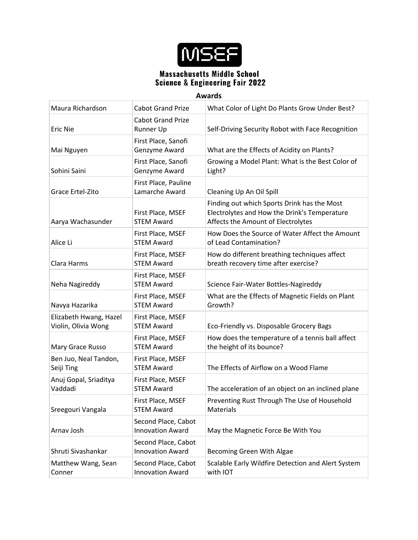

| Maura Richardson                              | <b>Cabot Grand Prize</b>                       | What Color of Light Do Plants Grow Under Best?                                                                                    |
|-----------------------------------------------|------------------------------------------------|-----------------------------------------------------------------------------------------------------------------------------------|
| <b>Eric Nie</b>                               | <b>Cabot Grand Prize</b><br>Runner Up          | Self-Driving Security Robot with Face Recognition                                                                                 |
| Mai Nguyen                                    | First Place, Sanofi<br>Genzyme Award           | What are the Effects of Acidity on Plants?                                                                                        |
| Sohini Saini                                  | First Place, Sanofi<br>Genzyme Award           | Growing a Model Plant: What is the Best Color of<br>Light?                                                                        |
| Grace Ertel-Zito                              | First Place, Pauline<br>Lamarche Award         | Cleaning Up An Oil Spill                                                                                                          |
| Aarya Wachasunder                             | First Place, MSEF<br><b>STEM Award</b>         | Finding out which Sports Drink has the Most<br>Electrolytes and How the Drink's Temperature<br>Affects the Amount of Electrolytes |
| Alice Li                                      | First Place, MSEF<br><b>STEM Award</b>         | How Does the Source of Water Affect the Amount<br>of Lead Contamination?                                                          |
| Clara Harms                                   | First Place, MSEF<br><b>STEM Award</b>         | How do different breathing techniques affect<br>breath recovery time after exercise?                                              |
| Neha Nagireddy                                | First Place, MSEF<br><b>STEM Award</b>         | Science Fair-Water Bottles-Nagireddy                                                                                              |
| Navya Hazarika                                | First Place, MSEF<br><b>STEM Award</b>         | What are the Effects of Magnetic Fields on Plant<br>Growth?                                                                       |
| Elizabeth Hwang, Hazel<br>Violin, Olivia Wong | First Place, MSEF<br><b>STEM Award</b>         | Eco-Friendly vs. Disposable Grocery Bags                                                                                          |
| Mary Grace Russo                              | First Place, MSEF<br><b>STEM Award</b>         | How does the temperature of a tennis ball affect<br>the height of its bounce?                                                     |
| Ben Juo, Neal Tandon,<br>Seiji Ting           | First Place, MSEF<br><b>STEM Award</b>         | The Effects of Airflow on a Wood Flame                                                                                            |
| Anuj Gopal, Sriaditya<br>Vaddadi              | First Place, MSEF<br><b>STEM Award</b>         | The acceleration of an object on an inclined plane                                                                                |
| Sreegouri Vangala                             | First Place, MSEF<br><b>STEM Award</b>         | Preventing Rust Through The Use of Household<br><b>Materials</b>                                                                  |
| Arnav Josh                                    | Second Place, Cabot<br><b>Innovation Award</b> | May the Magnetic Force Be With You                                                                                                |
| Shruti Sivashankar                            | Second Place, Cabot<br><b>Innovation Award</b> | Becoming Green With Algae                                                                                                         |
| Matthew Wang, Sean<br>Conner                  | Second Place, Cabot<br><b>Innovation Award</b> | Scalable Early Wildfire Detection and Alert System<br>with IOT                                                                    |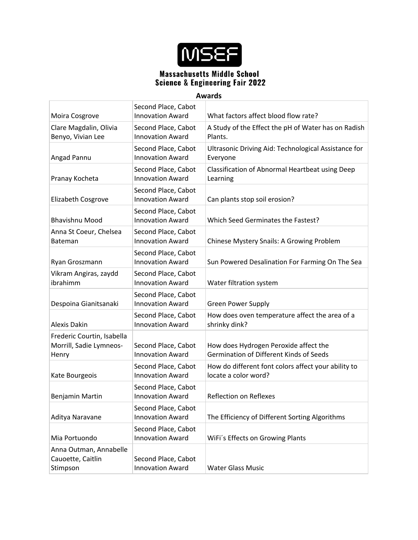

|                                                                | Second Place, Cabot                            |                                                                                  |
|----------------------------------------------------------------|------------------------------------------------|----------------------------------------------------------------------------------|
| Moira Cosgrove                                                 | <b>Innovation Award</b>                        | What factors affect blood flow rate?                                             |
| Clare Magdalin, Olivia<br>Benyo, Vivian Lee                    | Second Place, Cabot<br><b>Innovation Award</b> | A Study of the Effect the pH of Water has on Radish<br>Plants.                   |
| Angad Pannu                                                    | Second Place, Cabot<br><b>Innovation Award</b> | Ultrasonic Driving Aid: Technological Assistance for<br>Everyone                 |
| Pranay Kocheta                                                 | Second Place, Cabot<br><b>Innovation Award</b> | Classification of Abnormal Heartbeat using Deep<br>Learning                      |
| Elizabeth Cosgrove                                             | Second Place, Cabot<br><b>Innovation Award</b> | Can plants stop soil erosion?                                                    |
| <b>Bhavishnu Mood</b>                                          | Second Place, Cabot<br><b>Innovation Award</b> | Which Seed Germinates the Fastest?                                               |
| Anna St Coeur, Chelsea<br>Bateman                              | Second Place, Cabot<br><b>Innovation Award</b> | Chinese Mystery Snails: A Growing Problem                                        |
| Ryan Groszmann                                                 | Second Place, Cabot<br><b>Innovation Award</b> | Sun Powered Desalination For Farming On The Sea                                  |
| Vikram Angiras, zaydd<br>ibrahimm                              | Second Place, Cabot<br><b>Innovation Award</b> | Water filtration system                                                          |
| Despoina Gianitsanaki                                          | Second Place, Cabot<br><b>Innovation Award</b> | <b>Green Power Supply</b>                                                        |
| Alexis Dakin                                                   | Second Place, Cabot<br><b>Innovation Award</b> | How does oven temperature affect the area of a<br>shrinky dink?                  |
| Frederic Courtin, Isabella<br>Morrill, Sadie Lymneos-<br>Henry | Second Place, Cabot<br><b>Innovation Award</b> | How does Hydrogen Peroxide affect the<br>Germination of Different Kinds of Seeds |
| Kate Bourgeois                                                 | Second Place, Cabot<br><b>Innovation Award</b> | How do different font colors affect your ability to<br>locate a color word?      |
| Benjamin Martin                                                | Second Place, Cabot<br><b>Innovation Award</b> | <b>Reflection on Reflexes</b>                                                    |
| Aditya Naravane                                                | Second Place, Cabot<br><b>Innovation Award</b> | The Efficiency of Different Sorting Algorithms                                   |
| Mia Portuondo                                                  | Second Place, Cabot<br><b>Innovation Award</b> | WiFi's Effects on Growing Plants                                                 |
| Anna Outman, Annabelle<br>Cauoette, Caitlin<br>Stimpson        | Second Place, Cabot<br><b>Innovation Award</b> | <b>Water Glass Music</b>                                                         |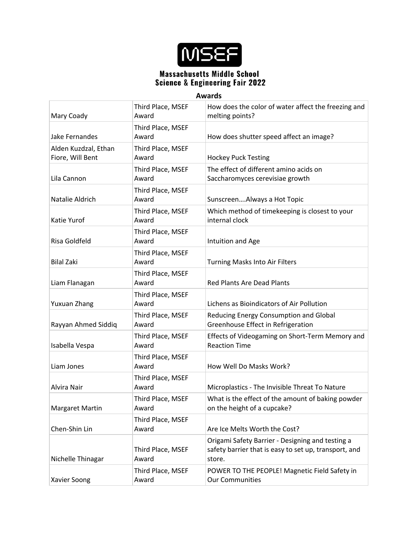

| г. | W<br>w | I | ×<br>r |  |
|----|--------|---|--------|--|
|    |        | о |        |  |

| Awards                                   |                            |                                                                                                                     |  |
|------------------------------------------|----------------------------|---------------------------------------------------------------------------------------------------------------------|--|
| Mary Coady                               | Third Place, MSEF<br>Award | How does the color of water affect the freezing and<br>melting points?                                              |  |
| Jake Fernandes                           | Third Place, MSEF<br>Award | How does shutter speed affect an image?                                                                             |  |
| Alden Kuzdzal, Ethan<br>Fiore, Will Bent | Third Place, MSEF<br>Award | <b>Hockey Puck Testing</b>                                                                                          |  |
| Lila Cannon                              | Third Place, MSEF<br>Award | The effect of different amino acids on<br>Saccharomyces cerevisiae growth                                           |  |
| Natalie Aldrich                          | Third Place, MSEF<br>Award | SunscreenAlways a Hot Topic                                                                                         |  |
| Katie Yurof                              | Third Place, MSEF<br>Award | Which method of timekeeping is closest to your<br>internal clock                                                    |  |
| Risa Goldfeld                            | Third Place, MSEF<br>Award | Intuition and Age                                                                                                   |  |
| <b>Bilal Zaki</b>                        | Third Place, MSEF<br>Award | <b>Turning Masks Into Air Filters</b>                                                                               |  |
| Liam Flanagan                            | Third Place, MSEF<br>Award | <b>Red Plants Are Dead Plants</b>                                                                                   |  |
| Yuxuan Zhang                             | Third Place, MSEF<br>Award | Lichens as Bioindicators of Air Pollution                                                                           |  |
| Rayyan Ahmed Siddiq                      | Third Place, MSEF<br>Award | Reducing Energy Consumption and Global<br>Greenhouse Effect in Refrigeration                                        |  |
| Isabella Vespa                           | Third Place, MSEF<br>Award | Effects of Videogaming on Short-Term Memory and<br><b>Reaction Time</b>                                             |  |
| Liam Jones                               | Third Place, MSEF<br>Award | How Well Do Masks Work?                                                                                             |  |
| Alvira Nair                              | Third Place, MSEF<br>Award | Microplastics - The Invisible Threat To Nature                                                                      |  |
| <b>Margaret Martin</b>                   | Third Place, MSEF<br>Award | What is the effect of the amount of baking powder<br>on the height of a cupcake?                                    |  |
| Chen-Shin Lin                            | Third Place, MSEF<br>Award | Are Ice Melts Worth the Cost?                                                                                       |  |
| Nichelle Thinagar                        | Third Place, MSEF<br>Award | Origami Safety Barrier - Designing and testing a<br>safety barrier that is easy to set up, transport, and<br>store. |  |
| Xavier Soong                             | Third Place, MSEF<br>Award | POWER TO THE PEOPLE! Magnetic Field Safety in<br><b>Our Communities</b>                                             |  |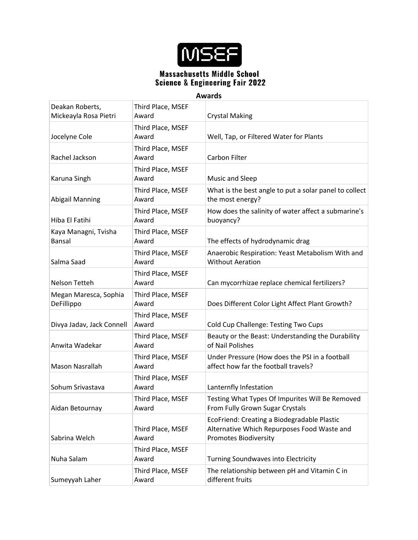

| Deakan Roberts,<br>Mickeayla Rosa Pietri | Third Place, MSEF<br>Award | <b>Crystal Making</b>                                                                                                      |
|------------------------------------------|----------------------------|----------------------------------------------------------------------------------------------------------------------------|
| Jocelyne Cole                            | Third Place, MSEF<br>Award | Well, Tap, or Filtered Water for Plants                                                                                    |
| Rachel Jackson                           | Third Place, MSEF<br>Award | Carbon Filter                                                                                                              |
| Karuna Singh                             | Third Place, MSEF<br>Award | Music and Sleep                                                                                                            |
| <b>Abigail Manning</b>                   | Third Place, MSEF<br>Award | What is the best angle to put a solar panel to collect<br>the most energy?                                                 |
| Hiba El Fatihi                           | Third Place, MSEF<br>Award | How does the salinity of water affect a submarine's<br>buoyancy?                                                           |
| Kaya Managni, Tvisha<br>Bansal           | Third Place, MSEF<br>Award | The effects of hydrodynamic drag                                                                                           |
| Salma Saad                               | Third Place, MSEF<br>Award | Anaerobic Respiration: Yeast Metabolism With and<br><b>Without Aeration</b>                                                |
| Nelson Tetteh                            | Third Place, MSEF<br>Award | Can mycorrhizae replace chemical fertilizers?                                                                              |
| Megan Maresca, Sophia<br>DeFillippo      | Third Place, MSEF<br>Award | Does Different Color Light Affect Plant Growth?                                                                            |
| Divya Jadav, Jack Connell                | Third Place, MSEF<br>Award | <b>Cold Cup Challenge: Testing Two Cups</b>                                                                                |
| Anwita Wadekar                           | Third Place, MSEF<br>Award | Beauty or the Beast: Understanding the Durability<br>of Nail Polishes                                                      |
| Mason Nasrallah                          | Third Place, MSEF<br>Award | Under Pressure (How does the PSI in a football<br>affect how far the football travels?                                     |
| Sohum Srivastava                         | Third Place, MSEF<br>Award | Lanternfly Infestation                                                                                                     |
| Aidan Betournay                          | Third Place, MSEF<br>Award | Testing What Types Of Impurites Will Be Removed<br>From Fully Grown Sugar Crystals                                         |
| Sabrina Welch                            | Third Place, MSEF<br>Award | EcoFriend: Creating a Biodegradable Plastic<br>Alternative Which Repurposes Food Waste and<br><b>Promotes Biodiversity</b> |
| Nuha Salam                               | Third Place, MSEF<br>Award | <b>Turning Soundwaves into Electricity</b>                                                                                 |
| Sumeyyah Laher                           | Third Place, MSEF<br>Award | The relationship between pH and Vitamin C in<br>different fruits                                                           |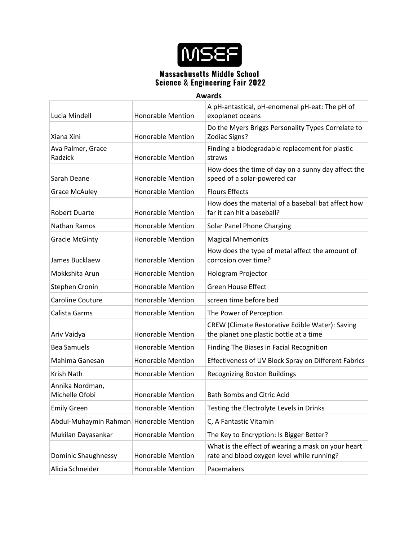

| Lucia Mindell                           | <b>Honorable Mention</b> | A pH-antastical, pH-enomenal pH-eat: The pH of<br>exoplanet oceans                               |
|-----------------------------------------|--------------------------|--------------------------------------------------------------------------------------------------|
| Xiana Xini                              | <b>Honorable Mention</b> | Do the Myers Briggs Personality Types Correlate to<br>Zodiac Signs?                              |
| Ava Palmer, Grace<br>Radzick            | <b>Honorable Mention</b> | Finding a biodegradable replacement for plastic<br>straws                                        |
| Sarah Deane                             | <b>Honorable Mention</b> | How does the time of day on a sunny day affect the<br>speed of a solar-powered car               |
| <b>Grace McAuley</b>                    | <b>Honorable Mention</b> | <b>Flours Effects</b>                                                                            |
| <b>Robert Duarte</b>                    | <b>Honorable Mention</b> | How does the material of a baseball bat affect how<br>far it can hit a baseball?                 |
| Nathan Ramos                            | <b>Honorable Mention</b> | Solar Panel Phone Charging                                                                       |
| <b>Gracie McGinty</b>                   | <b>Honorable Mention</b> | <b>Magical Mnemonics</b>                                                                         |
| James Bucklaew                          | <b>Honorable Mention</b> | How does the type of metal affect the amount of<br>corrosion over time?                          |
| Mokkshita Arun                          | <b>Honorable Mention</b> | Hologram Projector                                                                               |
| Stephen Cronin                          | <b>Honorable Mention</b> | <b>Green House Effect</b>                                                                        |
| Caroline Couture                        | <b>Honorable Mention</b> | screen time before bed                                                                           |
| Calista Garms                           | <b>Honorable Mention</b> | The Power of Perception                                                                          |
| Ariv Vaidya                             | <b>Honorable Mention</b> | CREW (Climate Restorative Edible Water): Saving<br>the planet one plastic bottle at a time       |
| <b>Bea Samuels</b>                      | <b>Honorable Mention</b> | Finding The Biases in Facial Recognition                                                         |
| Mahima Ganesan                          | <b>Honorable Mention</b> | Effectiveness of UV Block Spray on Different Fabrics                                             |
| Krish Nath                              | <b>Honorable Mention</b> | <b>Recognizing Boston Buildings</b>                                                              |
| Annika Nordman,<br>Michelle Ofobi       | <b>Honorable Mention</b> | <b>Bath Bombs and Citric Acid</b>                                                                |
| <b>Emily Green</b>                      | <b>Honorable Mention</b> | Testing the Electrolyte Levels in Drinks                                                         |
| Abdul-Muhaymin Rahman Honorable Mention |                          | C, A Fantastic Vitamin                                                                           |
| Mukilan Dayasankar                      | <b>Honorable Mention</b> | The Key to Encryption: Is Bigger Better?                                                         |
| Dominic Shaughnessy                     | <b>Honorable Mention</b> | What is the effect of wearing a mask on your heart<br>rate and blood oxygen level while running? |
| Alicia Schneider                        | Honorable Mention        | Pacemakers                                                                                       |